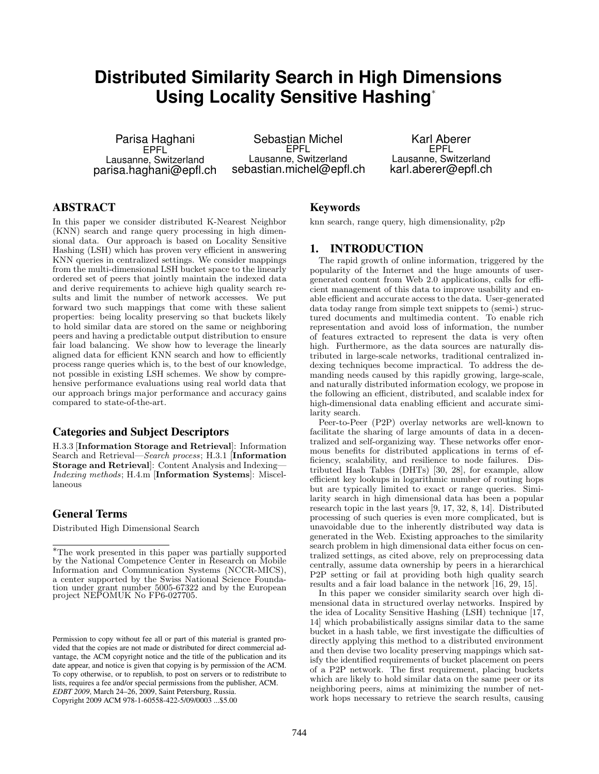# **Distributed Similarity Search in High Dimensions Using Locality Sensitive Hashing**<sup>∗</sup>

Parisa Haghani EPFL Lausanne, Switzerland parisa.haghani@epfl.ch

Sebastian Michel EPFL Lausanne, Switzerland sebastian.michel@epfl.ch

Karl Aberer EPFL Lausanne, Switzerland karl.aberer@epfl.ch

# ABSTRACT

In this paper we consider distributed K-Nearest Neighbor (KNN) search and range query processing in high dimensional data. Our approach is based on Locality Sensitive Hashing (LSH) which has proven very efficient in answering KNN queries in centralized settings. We consider mappings from the multi-dimensional LSH bucket space to the linearly ordered set of peers that jointly maintain the indexed data and derive requirements to achieve high quality search results and limit the number of network accesses. We put forward two such mappings that come with these salient properties: being locality preserving so that buckets likely to hold similar data are stored on the same or neighboring peers and having a predictable output distribution to ensure fair load balancing. We show how to leverage the linearly aligned data for efficient KNN search and how to efficiently process range queries which is, to the best of our knowledge, not possible in existing LSH schemes. We show by comprehensive performance evaluations using real world data that our approach brings major performance and accuracy gains compared to state-of-the-art.

## Categories and Subject Descriptors

H.3.3 [Information Storage and Retrieval]: Information Search and Retrieval—Search process; H.3.1 [Information Storage and Retrieval]: Content Analysis and Indexing— Indexing methods; H.4.m [Information Systems]: Miscellaneous

## General Terms

Distributed High Dimensional Search

# Keywords

knn search, range query, high dimensionality, p2p

## 1. INTRODUCTION

The rapid growth of online information, triggered by the popularity of the Internet and the huge amounts of usergenerated content from Web 2.0 applications, calls for efficient management of this data to improve usability and enable efficient and accurate access to the data. User-generated data today range from simple text snippets to (semi-) structured documents and multimedia content. To enable rich representation and avoid loss of information, the number of features extracted to represent the data is very often high. Furthermore, as the data sources are naturally distributed in large-scale networks, traditional centralized indexing techniques become impractical. To address the demanding needs caused by this rapidly growing, large-scale, and naturally distributed information ecology, we propose in the following an efficient, distributed, and scalable index for high-dimensional data enabling efficient and accurate similarity search.

Peer-to-Peer (P2P) overlay networks are well-known to facilitate the sharing of large amounts of data in a decentralized and self-organizing way. These networks offer enormous benefits for distributed applications in terms of efficiency, scalability, and resilience to node failures. Distributed Hash Tables (DHTs) [30, 28], for example, allow efficient key lookups in logarithmic number of routing hops but are typically limited to exact or range queries. Similarity search in high dimensional data has been a popular research topic in the last years [9, 17, 32, 8, 14]. Distributed processing of such queries is even more complicated, but is unavoidable due to the inherently distributed way data is generated in the Web. Existing approaches to the similarity search problem in high dimensional data either focus on centralized settings, as cited above, rely on preprocessing data centrally, assume data ownership by peers in a hierarchical P2P setting or fail at providing both high quality search results and a fair load balance in the network [16, 29, 15].

In this paper we consider similarity search over high dimensional data in structured overlay networks. Inspired by the idea of Locality Sensitive Hashing (LSH) technique [17, 14] which probabilistically assigns similar data to the same bucket in a hash table, we first investigate the difficulties of directly applying this method to a distributed environment and then devise two locality preserving mappings which satisfy the identified requirements of bucket placement on peers of a P2P network. The first requirement, placing buckets which are likely to hold similar data on the same peer or its neighboring peers, aims at minimizing the number of network hops necessary to retrieve the search results, causing

<sup>∗</sup>The work presented in this paper was partially supported by the National Competence Center in Research on Mobile Information and Communication Systems (NCCR-MICS), a center supported by the Swiss National Science Foundation under grant number 5005-67322 and by the European project NEPOMUK No FP6-027705.

Permission to copy without fee all or part of this material is granted provided that the copies are not made or distributed for direct commercial advantage, the ACM copyright notice and the title of the publication and its date appear, and notice is given that copying is by permission of the ACM. To copy otherwise, or to republish, to post on servers or to redistribute to lists, requires a fee and/or special permissions from the publisher, ACM. *EDBT 2009*, March 24–26, 2009, Saint Petersburg, Russia. Copyright 2009 ACM 978-1-60558-422-5/09/0003 ...\$5.00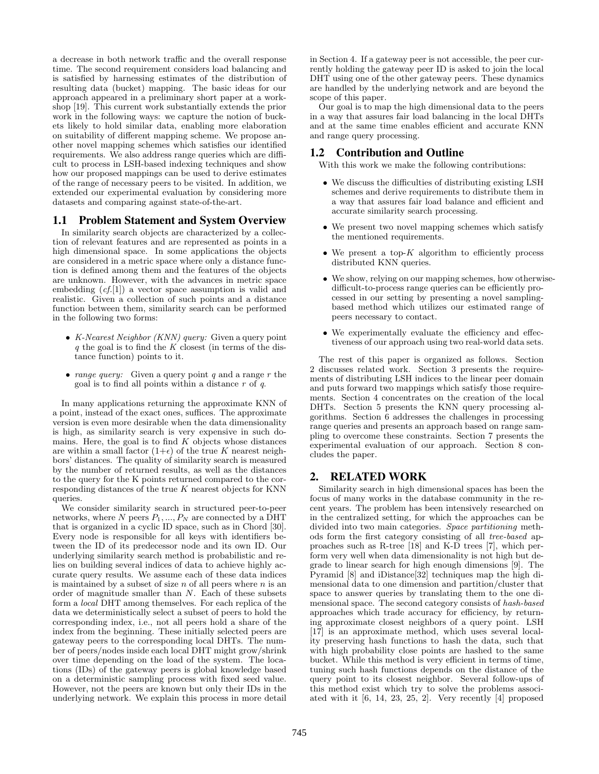a decrease in both network traffic and the overall response time. The second requirement considers load balancing and is satisfied by harnessing estimates of the distribution of resulting data (bucket) mapping. The basic ideas for our approach appeared in a preliminary short paper at a workshop [19]. This current work substantially extends the prior work in the following ways: we capture the notion of buckets likely to hold similar data, enabling more elaboration on suitability of different mapping scheme. We propose another novel mapping schemes which satisfies our identified requirements. We also address range queries which are difficult to process in LSH-based indexing techniques and show how our proposed mappings can be used to derive estimates of the range of necessary peers to be visited. In addition, we extended our experimental evaluation by considering more datasets and comparing against state-of-the-art.

#### 1.1 Problem Statement and System Overview

In similarity search objects are characterized by a collection of relevant features and are represented as points in a high dimensional space. In some applications the objects are considered in a metric space where only a distance function is defined among them and the features of the objects are unknown. However, with the advances in metric space embedding  $(cf.[1])$  a vector space assumption is valid and realistic. Given a collection of such points and a distance function between them, similarity search can be performed in the following two forms:

- K-Nearest Neighbor (KNN) query: Given a query point  $q$  the goal is to find the  $K$  closest (in terms of the distance function) points to it.
- range query: Given a query point q and a range  $r$  the goal is to find all points within a distance  $r$  of  $q$ .

In many applications returning the approximate KNN of a point, instead of the exact ones, suffices. The approximate version is even more desirable when the data dimensionality is high, as similarity search is very expensive in such domains. Here, the goal is to find  $K$  objects whose distances are within a small factor  $(1+\epsilon)$  of the true K nearest neighbors' distances. The quality of similarity search is measured by the number of returned results, as well as the distances to the query for the K points returned compared to the corresponding distances of the true  $K$  nearest objects for KNN queries.

We consider similarity search in structured peer-to-peer networks, where N peers  $P_1, ..., P_N$  are connected by a DHT that is organized in a cyclic ID space, such as in Chord [30]. Every node is responsible for all keys with identifiers between the ID of its predecessor node and its own ID. Our underlying similarity search method is probabilistic and relies on building several indices of data to achieve highly accurate query results. We assume each of these data indices is maintained by a subset of size  $n$  of all peers where  $n$  is an order of magnitude smaller than N. Each of these subsets form a local DHT among themselves. For each replica of the data we deterministically select a subset of peers to hold the corresponding index, i.e., not all peers hold a share of the index from the beginning. These initially selected peers are gateway peers to the corresponding local DHTs. The number of peers/nodes inside each local DHT might grow/shrink over time depending on the load of the system. The locations (IDs) of the gateway peers is global knowledge based on a deterministic sampling process with fixed seed value. However, not the peers are known but only their IDs in the underlying network. We explain this process in more detail in Section 4. If a gateway peer is not accessible, the peer currently holding the gateway peer ID is asked to join the local DHT using one of the other gateway peers. These dynamics are handled by the underlying network and are beyond the scope of this paper.

Our goal is to map the high dimensional data to the peers in a way that assures fair load balancing in the local DHTs and at the same time enables efficient and accurate KNN and range query processing.

## 1.2 Contribution and Outline

With this work we make the following contributions:

- We discuss the difficulties of distributing existing LSH schemes and derive requirements to distribute them in a way that assures fair load balance and efficient and accurate similarity search processing.
- We present two novel mapping schemes which satisfy the mentioned requirements.
- We present a top- $K$  algorithm to efficiently process distributed KNN queries.
- We show, relying on our mapping schemes, how otherwisedifficult-to-process range queries can be efficiently processed in our setting by presenting a novel samplingbased method which utilizes our estimated range of peers necessary to contact.
- We experimentally evaluate the efficiency and effectiveness of our approach using two real-world data sets.

The rest of this paper is organized as follows. Section 2 discusses related work. Section 3 presents the requirements of distributing LSH indices to the linear peer domain and puts forward two mappings which satisfy those requirements. Section 4 concentrates on the creation of the local DHTs. Section 5 presents the KNN query processing algorithms. Section 6 addresses the challenges in processing range queries and presents an approach based on range sampling to overcome these constraints. Section 7 presents the experimental evaluation of our approach. Section 8 concludes the paper.

#### 2. RELATED WORK

Similarity search in high dimensional spaces has been the focus of many works in the database community in the recent years. The problem has been intensively researched on in the centralized setting, for which the approaches can be divided into two main categories. Space partitioning methods form the first category consisting of all tree-based approaches such as R-tree [18] and K-D trees [7], which perform very well when data dimensionality is not high but degrade to linear search for high enough dimensions [9]. The Pyramid [8] and iDistance[32] techniques map the high dimensional data to one dimension and partition/cluster that space to answer queries by translating them to the one dimensional space. The second category consists of hash-based approaches which trade accuracy for efficiency, by returning approximate closest neighbors of a query point. LSH [17] is an approximate method, which uses several locality preserving hash functions to hash the data, such that with high probability close points are hashed to the same bucket. While this method is very efficient in terms of time, tuning such hash functions depends on the distance of the query point to its closest neighbor. Several follow-ups of this method exist which try to solve the problems associated with it [6, 14, 23, 25, 2]. Very recently [4] proposed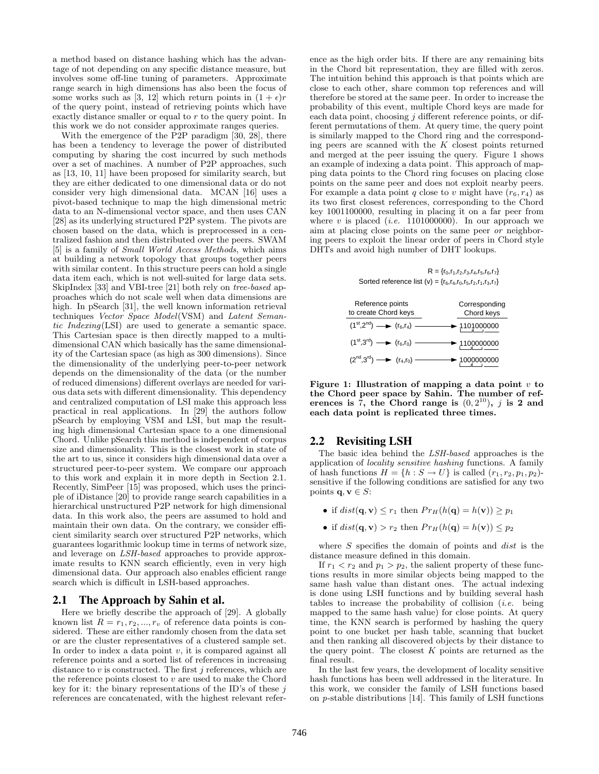a method based on distance hashing which has the advantage of not depending on any specific distance measure, but involves some off-line tuning of parameters. Approximate range search in high dimensions has also been the focus of some works such as [3, 12] which return points in  $(1 + \epsilon)r$ of the query point, instead of retrieving points which have exactly distance smaller or equal to r to the query point. In this work we do not consider approximate ranges queries.

With the emergence of the P2P paradigm [30, 28], there has been a tendency to leverage the power of distributed computing by sharing the cost incurred by such methods over a set of machines. A number of P2P approaches, such as [13, 10, 11] have been proposed for similarity search, but they are either dedicated to one dimensional data or do not consider very high dimensional data. MCAN [16] uses a pivot-based technique to map the high dimensional metric data to an N-dimensional vector space, and then uses CAN [28] as its underlying structured P2P system. The pivots are chosen based on the data, which is preprocessed in a centralized fashion and then distributed over the peers. SWAM [5] is a family of Small World Access Methods, which aims at building a network topology that groups together peers with similar content. In this structure peers can hold a single data item each, which is not well-suited for large data sets. SkipIndex [33] and VBI-tree [21] both rely on tree-based approaches which do not scale well when data dimensions are high. In pSearch [31], the well known information retrieval techniques Vector Space Model(VSM) and Latent Semantic Indexing(LSI) are used to generate a semantic space. This Cartesian space is then directly mapped to a multidimensional CAN which basically has the same dimensionality of the Cartesian space (as high as 300 dimensions). Since the dimensionality of the underlying peer-to-peer network depends on the dimensionality of the data (or the number of reduced dimensions) different overlays are needed for various data sets with different dimensionality. This dependency and centralized computation of LSI make this approach less practical in real applications. In [29] the authors follow pSearch by employing VSM and LSI, but map the resulting high dimensional Cartesian space to a one dimensional Chord. Unlike pSearch this method is independent of corpus size and dimensionality. This is the closest work in state of the art to us, since it considers high dimensional data over a structured peer-to-peer system. We compare our approach to this work and explain it in more depth in Section 2.1. Recently, SimPeer [15] was proposed, which uses the principle of iDistance [20] to provide range search capabilities in a hierarchical unstructured P2P network for high dimensional data. In this work also, the peers are assumed to hold and maintain their own data. On the contrary, we consider efficient similarity search over structured P2P networks, which guarantees logarithmic lookup time in terms of network size, and leverage on LSH-based approaches to provide approximate results to KNN search efficiently, even in very high dimensional data. Our approach also enables efficient range search which is difficult in LSH-based approaches.

#### 2.1 The Approach by Sahin et al.

Here we briefly describe the approach of [29]. A globally known list  $R = r_1, r_2, ..., r_v$  of reference data points is considered. These are either randomly chosen from the data set or are the cluster representatives of a clustered sample set. In order to index a data point  $v$ , it is compared against all reference points and a sorted list of references in increasing distance to  $v$  is constructed. The first  $j$  references, which are the reference points closest to  $v$  are used to make the Chord key for it: the binary representations of the ID's of these  $j$ references are concatenated, with the highest relevant reference as the high order bits. If there are any remaining bits in the Chord bit representation, they are filled with zeros. The intuition behind this approach is that points which are close to each other, share common top references and will therefore be stored at the same peer. In order to increase the probability of this event, multiple Chord keys are made for each data point, choosing  $j$  different reference points, or different permutations of them. At query time, the query point is similarly mapped to the Chord ring and the corresponding peers are scanned with the  $K$  closest points returned and merged at the peer issuing the query. Figure 1 shows an example of indexing a data point. This approach of mapping data points to the Chord ring focuses on placing close points on the same peer and does not exploit nearby peers. For example a data point q close to v might have  $(r_6, r_4)$  as its two first closest references, corresponding to the Chord key 1001100000, resulting in placing it on a far peer from where  $v$  is placed (*i.e.* 1101000000). In our approach we aim at placing close points on the same peer  $\overrightarrow{or}$  neighboring peers to exploit the linear order of peers in Chord style DHTs and avoid high number of DHT lookups.

Sorted reference list (v) =  ${r_{6}r_{4}}r_{0}r_{5}r_{2}r_{1}r_{3}r_{7}$  $R = {r<sub>0</sub>, r<sub>1</sub>, r<sub>2</sub>, r<sub>3</sub>, r<sub>4</sub>, r<sub>5</sub>, r<sub>6</sub>, r<sub>7</sub>}$ 



Figure 1: Illustration of mapping a data point  $v$  to the Chord peer space by Sahin. The number of references is  $\bar{7}$ , the Chord range is  $(0, 2^{10})$ , j is 2 and each data point is replicated three times.

#### 2.2 Revisiting LSH

The basic idea behind the LSH-based approaches is the application of locality sensitive hashing functions. A family of hash functions  $H = \{h : S \to U\}$  is called  $(r_1, r_2, p_1, p_2)$ sensitive if the following conditions are satisfied for any two points  $\mathbf{q}, \mathbf{v} \in S$ :

- if  $dist(\mathbf{q}, \mathbf{v}) \leq r_1$  then  $Pr_H(h(\mathbf{q}) = h(\mathbf{v})) \geq p_1$
- if  $dist(\mathbf{q}, \mathbf{v}) > r_2$  then  $Pr_H(h(\mathbf{q}) = h(\mathbf{v})) \leq p_2$

where  $S$  specifies the domain of points and *dist* is the distance measure defined in this domain.

If  $r_1 < r_2$  and  $p_1 > p_2$ , the salient property of these functions results in more similar objects being mapped to the same hash value than distant ones. The actual indexing is done using LSH functions and by building several hash tables to increase the probability of collision  $(i.e.$  being mapped to the same hash value) for close points. At query time, the KNN search is performed by hashing the query point to one bucket per hash table, scanning that bucket and then ranking all discovered objects by their distance to the query point. The closest  $K$  points are returned as the final result.

In the last few years, the development of locality sensitive hash functions has been well addressed in the literature. In this work, we consider the family of LSH functions based on p-stable distributions [14]. This family of LSH functions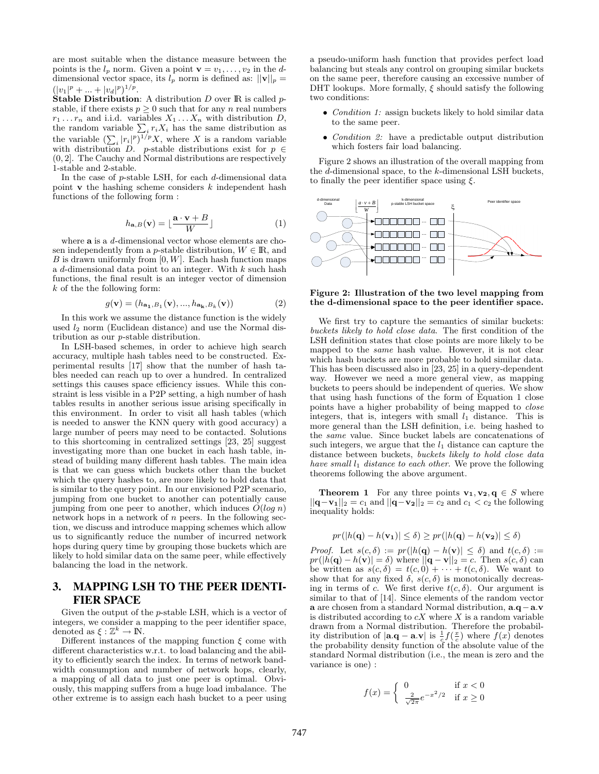are most suitable when the distance measure between the points is the  $l_p$  norm. Given a point  $\mathbf{v} = v_1, \ldots, v_2$  in the ddimensional vector space, its  $l_p$  norm is defined as:  $||\mathbf{v}||_p =$  $(|v_1|^p + ... + |v_d|^p)^{1/p}$ .

**Stable Distribution**: A distribution  $D$  over  $\mathbb R$  is called  $p$ stable, if there exists  $p \geq 0$  such that for any n real numbers  $r_1 \ldots r_n$  and i.i.d. variables  $X_1 \ldots X_n$  with distribution  $D$ , the random variable  $\sum_i r_i X_i$  has the same distribution as the variable  $(\sum_i |r_i|^p)^{1/p} X$ , where X is a random variable with distribution D. p-stable distributions exist for  $p \in$ (0, 2]. The Cauchy and Normal distributions are respectively 1-stable and 2-stable.

In the case of  $p$ -stable LSH, for each  $d$ -dimensional data point  $\bf{v}$  the hashing scheme considers  $k$  independent hash functions of the following form :

$$
h_{\mathbf{a},B}(\mathbf{v}) = \lfloor \frac{\mathbf{a} \cdot \mathbf{v} + B}{W} \rfloor \tag{1}
$$

where **a** is a d-dimensional vector whose elements are chosen independently from a p-stable distribution,  $W \in \mathbb{R}$ , and  $B$  is drawn uniformly from  $[0, W]$ . Each hash function maps a  $d$ -dimensional data point to an integer. With  $k$  such hash functions, the final result is an integer vector of dimension k of the the following form:

$$
g(\mathbf{v}) = (h_{\mathbf{a}_1, B_1}(\mathbf{v}), ..., h_{\mathbf{a}_k, B_k}(\mathbf{v}))
$$
(2)

In this work we assume the distance function is the widely used  $l_2$  norm (Euclidean distance) and use the Normal distribution as our p-stable distribution.

In LSH-based schemes, in order to achieve high search accuracy, multiple hash tables need to be constructed. Experimental results [17] show that the number of hash tables needed can reach up to over a hundred. In centralized settings this causes space efficiency issues. While this constraint is less visible in a P2P setting, a high number of hash tables results in another serious issue arising specifically in this environment. In order to visit all hash tables (which is needed to answer the KNN query with good accuracy) a large number of peers may need to be contacted. Solutions to this shortcoming in centralized settings [23, 25] suggest investigating more than one bucket in each hash table, instead of building many different hash tables. The main idea is that we can guess which buckets other than the bucket which the query hashes to, are more likely to hold data that is similar to the query point. In our envisioned P2P scenario, jumping from one bucket to another can potentially cause jumping from one peer to another, which induces  $O(log n)$ network hops in a network of *n* peers. In the following section, we discuss and introduce mapping schemes which allow us to significantly reduce the number of incurred network hops during query time by grouping those buckets which are likely to hold similar data on the same peer, while effectively balancing the load in the network.

# 3. MAPPING LSH TO THE PEER IDENTI-FIER SPACE

Given the output of the p-stable LSH, which is a vector of integers, we consider a mapping to the peer identifier space, denoted as  $\xi : \mathbb{Z}^k \to \mathbb{N}$ .

Different instances of the mapping function  $\xi$  come with different characteristics w.r.t. to load balancing and the ability to efficiently search the index. In terms of network bandwidth consumption and number of network hops, clearly, a mapping of all data to just one peer is optimal. Obviously, this mapping suffers from a huge load imbalance. The other extreme is to assign each hash bucket to a peer using

a pseudo-uniform hash function that provides perfect load balancing but steals any control on grouping similar buckets on the same peer, therefore causing an excessive number of DHT lookups. More formally,  $\xi$  should satisfy the following two conditions:

- Condition 1: assign buckets likely to hold similar data to the same peer.
- *Condition 2:* have a predictable output distribution which fosters fair load balancing.

Figure 2 shows an illustration of the overall mapping from the d-dimensional space, to the k-dimensional LSH buckets, to finally the peer identifier space using  $\xi$ .



#### Figure 2: Illustration of the two level mapping from the d-dimensional space to the peer identifier space.

We first try to capture the semantics of similar buckets: buckets likely to hold close data. The first condition of the LSH definition states that close points are more likely to be mapped to the same hash value. However, it is not clear which hash buckets are more probable to hold similar data. This has been discussed also in [23, 25] in a query-dependent way. However we need a more general view, as mapping buckets to peers should be independent of queries. We show that using hash functions of the form of Equation 1 close points have a higher probability of being mapped to close integers, that is, integers with small  $l_1$  distance. This is more general than the LSH definition, i.e. being hashed to the same value. Since bucket labels are concatenations of such integers, we argue that the  $l_1$  distance can capture the distance between buckets, buckets likely to hold close data have small  $l_1$  distance to each other. We prove the following theorems following the above argument.

**Theorem 1** For any three points  $v_1, v_2, q \in S$  where  $||\mathbf{q}-\mathbf{v}_1||_2 = c_1$  and  $||\mathbf{q}-\mathbf{v}_2||_2 = c_2$  and  $c_1 < c_2$  the following inequality holds:

$$
pr(|h(\mathbf{q}) - h(\mathbf{v}_1)| \le \delta) \ge pr(|h(\mathbf{q}) - h(\mathbf{v}_2)| \le \delta)
$$

*Proof.* Let  $s(c, \delta) := pr(|h(\mathbf{q}) - h(\mathbf{v})| \leq \delta)$  and  $t(c, \delta) :=$  $pr(|h(\mathbf{q}) - h(\mathbf{v})| = \delta)$  where  $||\mathbf{q} - \mathbf{v}||_2 = c$ . Then  $s(c, \delta)$  can be written as  $s(c, \delta) = t(c, 0) + \cdots + t(c, \delta)$ . We want to show that for any fixed  $\delta$ ,  $s(c, \delta)$  is monotonically decreasing in terms of c. We first derive  $t(c, \delta)$ . Our argument is similar to that of [14]. Since elements of the random vector a are chosen from a standard Normal distribution, a.q−a.v is distributed according to  $cX$  where  $X$  is a random variable drawn from a Normal distribution. Therefore the probability distribution of  $|\mathbf{a} \cdot \mathbf{q} - \mathbf{a} \cdot \mathbf{v}|$  is  $\frac{1}{c} f(\frac{x}{c})$  where  $f(x)$  denotes the probability density function of the absolute value of the standard Normal distribution (i.e., the mean is zero and the variance is one) :

$$
f(x) = \begin{cases} 0 & \text{if } x < 0\\ \frac{2}{\sqrt{2\pi}}e^{-x^2/2} & \text{if } x \ge 0 \end{cases}
$$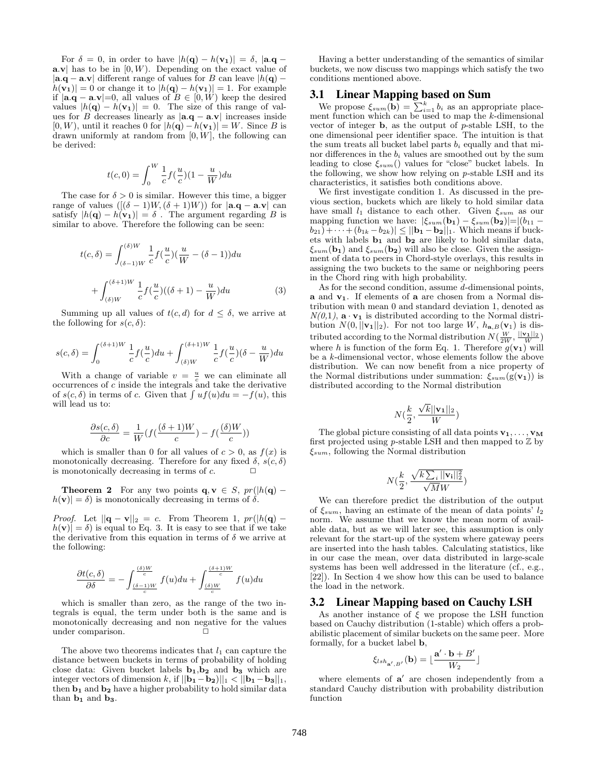For  $\delta = 0$ , in order to have  $|h(\mathbf{q}) - h(\mathbf{v}_1)| = \delta$ ,  $|\mathbf{a} \cdot \mathbf{q}|$  $\mathbf{a}.\mathbf{v}$  has to be in  $[0, W)$ . Depending on the exact value of  $|\mathbf{a} \cdot \mathbf{q} - \mathbf{a} \cdot \mathbf{v}|$  different range of values for B can leave  $|h(\mathbf{q}) - \mathbf{q}|$  $|h(\mathbf{v_1})| = 0$  or change it to  $|h(\mathbf{q}) - h(\mathbf{v_1})| = 1$ . For example if  $|\mathbf{a} \cdot \mathbf{q} - \mathbf{a} \cdot \mathbf{v}| = 0$ , all values of  $B \in [0, W)$  keep the desired values  $|h(\mathbf{q}) - h(\mathbf{v}_1)| = 0$ . The size of this range of values for B decreases linearly as  $|\mathbf{a} \cdot \mathbf{q} - \mathbf{a} \cdot \mathbf{v}|$  increases inside  $[0, W)$ , until it reaches 0 for  $|h(\mathbf{q}) - h(\mathbf{v}_1)| = W$ . Since B is drawn uniformly at random from  $[0, W]$ , the following can be derived:

$$
t(c,0) = \int_0^W \frac{1}{c} f(\frac{u}{c})(1 - \frac{u}{W}) du
$$

The case for  $\delta > 0$  is similar. However this time, a bigger range of values  $((\delta - 1)W, (\delta + 1)W)$  for  $|\mathbf{a} \cdot \mathbf{q} - \mathbf{a} \cdot \mathbf{v}|$  can satisfy  $|h(\mathbf{q}) - h(\mathbf{v}_1)| = \delta$ . The argument regarding B is similar to above. Therefore the following can be seen:

$$
t(c,\delta) = \int_{(\delta-1)W}^{(\delta)W} \frac{1}{c} f(\frac{u}{c}) (\frac{u}{W} - (\delta - 1)) du
$$

$$
+ \int_{(\delta)W}^{(\delta+1)W} \frac{1}{c} f(\frac{u}{c}) ((\delta + 1) - \frac{u}{W}) du
$$
(3)

Summing up all values of  $t(c, d)$  for  $d \leq \delta$ , we arrive at the following for  $s(c, \delta)$ :

$$
s(c,\delta)=\int_0^{(\delta+1)W}\frac{1}{c}f(\frac{u}{c})du+\int_{(\delta)W}^{(\delta+1)W}\frac{1}{c}f(\frac{u}{c})(\delta-\frac{u}{W})du
$$

With a change of variable  $v = \frac{u}{c}$  we can eliminate all occurrences of c inside the integrals and take the derivative of  $s(c, \delta)$  in terms of c. Given that  $\int u f(u) du = -f(u)$ , this will lead us to:

$$
\frac{\partial s(c,\delta)}{\partial c} = \frac{1}{W}(f(\frac{(\delta+1)W}{c}) - f(\frac{(\delta)W}{c}))
$$

which is smaller than 0 for all values of  $c > 0$ , as  $f(x)$  is monotonically decreasing. Therefore for any fixed  $\delta$ ,  $s(c, \delta)$ is monotonically decreasing in terms of  $c$ .

**Theorem 2** For any two points  $q, v \in S$ ,  $pr(|h(q) |h(\mathbf{v})| = \delta$  is monotonically decreasing in terms of  $\delta$ .

*Proof.* Let  $||\mathbf{q} - \mathbf{v}||_2 = c$ . From Theorem 1,  $pr(|h(\mathbf{q}) - \mathbf{v}|)$  $|h(\mathbf{v})| = \delta$  is equal to Eq. 3. It is easy to see that if we take the derivative from this equation in terms of  $\delta$  we arrive at the following:

$$
\frac{\partial t(c,\delta)}{\partial \delta} = -\int_{\frac{(\delta-1)W}{c}}^{\frac{(\delta)W}{c}} f(u) du + \int_{\frac{(\delta)W}{c}}^{\frac{(\delta+1)W}{c}} f(u) du
$$

which is smaller than zero, as the range of the two integrals is equal, the term under both is the same and is monotonically decreasing and non negative for the values under comparison.

The above two theorems indicates that  $l_1$  can capture the distance between buckets in terms of probability of holding close data: Given bucket labels  $\mathbf{b}_1, \mathbf{b}_2$  and  $\mathbf{b}_3$  which are integer vectors of dimension k, if  $||\mathbf{b_1} - \mathbf{b_2}||_1 < ||\mathbf{b_1} - \mathbf{b_3}||_1$ , then  $b_1$  and  $b_2$  have a higher probability to hold similar data than  $b_1$  and  $b_3$ .

Having a better understanding of the semantics of similar buckets, we now discuss two mappings which satisfy the two conditions mentioned above.

#### 3.1 Linear Mapping based on Sum

We propose  $\xi_{sum}(\mathbf{b}) = \sum_{i=1}^{k} b_i$  as an appropriate place-<br>ment function which can be used to map the k-dimensional vector of integer  $\bf{b}$ , as the output of p-stable LSH, to the one dimensional peer identifier space. The intuition is that the sum treats all bucket label parts  $b_i$  equally and that minor differences in the  $b_i$  values are smoothed out by the sum leading to close  $\xi_{sum}()$  values for "close" bucket labels. In the following, we show how relying on p-stable LSH and its characteristics, it satisfies both conditions above.

We first investigate condition 1. As discussed in the previous section, buckets which are likely to hold similar data have small  $l_1$  distance to each other. Given  $\xi_{sum}$  as our mapping function we have:  $|\xi_{sum}(\mathbf{b}_1) - \xi_{sum}(\mathbf{b}_2)| = |(b_{11} (b_{21})+\cdots+(b_{1k}-b_{2k})|\leq ||\mathbf{b_1}-\mathbf{b_2}||_1$ . Which means if buckets with labels  $\mathbf{b}_1$  and  $\mathbf{b}_2$  are likely to hold similar data,  $\xi_{sum}(\mathbf{b}_1)$  and  $\xi_{sum}(\mathbf{b}_2)$  will also be close. Given the assignment of data to peers in Chord-style overlays, this results in assigning the two buckets to the same or neighboring peers in the Chord ring with high probability.

As for the second condition, assume d-dimensional points, a and  $v_1$ . If elements of a are chosen from a Normal distribution with mean 0 and standard deviation 1, denoted as  $N(0,1)$ ,  $\mathbf{a} \cdot \mathbf{v_1}$  is distributed according to the Normal distribution  $N(0, ||\mathbf{v}_1||_2)$ . For not too large W,  $h_{\mathbf{a},B}(\mathbf{v}_1)$  is distributed according to the Normal distribution  $N(\frac{W}{2W}, \frac{||\mathbf{v}_1||_2}{W})$ where h is function of the form Eq. 1. Therefore  $g(\mathbf{v}_1)$  will be a k-dimensional vector, whose elements follow the above distribution. We can now benefit from a nice property of the Normal distributions under summation:  $\xi_{sum}(g(\mathbf{v}_1))$  is distributed according to the Normal distribution

$$
N(\frac{k}{2}, \frac{\sqrt{k}||\mathbf{v_1}||_2}{W})
$$

The global picture consisting of all data points  $v_1, \ldots, v_M$ first projected using  $p\text{-stable LSH}$  and then mapped to  $\mathbb Z$  by  $\xi_{sum}$ , following the Normal distribution

$$
N(\frac{k}{2},\frac{\sqrt{k\sum_i ||\mathbf{v_i}||_2^2}}{\sqrt{M}W})
$$

We can therefore predict the distribution of the output of  $\xi_{sum}$ , having an estimate of the mean of data points'  $l_2$ norm. We assume that we know the mean norm of available data, but as we will later see, this assumption is only relevant for the start-up of the system where gateway peers are inserted into the hash tables. Calculating statistics, like in our case the mean, over data distributed in large-scale systems has been well addressed in the literature (cf., e.g., [22]). In Section 4 we show how this can be used to balance the load in the network.

#### 3.2 Linear Mapping based on Cauchy LSH

As another instance of  $\xi$  we propose the LSH function based on Cauchy distribution (1-stable) which offers a probabilistic placement of similar buckets on the same peer. More formally, for a bucket label b,

$$
\xi_{lsh_{\mathbf{a}',B'}}(\mathbf{b})=\lfloor\frac{\mathbf{a}'\cdot\mathbf{b}+B'}{W_2}\rfloor
$$

where elements of  $a'$  are chosen independently from a standard Cauchy distribution with probability distribution function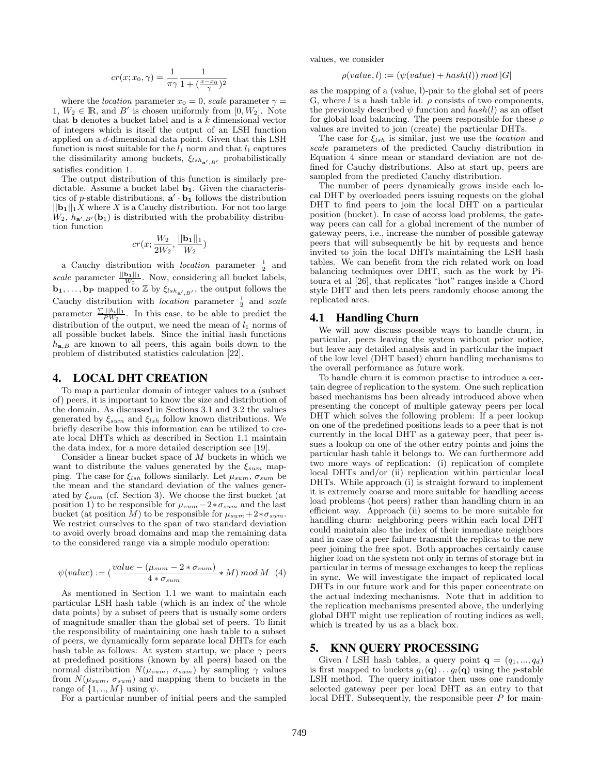$$
cr(x; x_0, \gamma) = \frac{1}{\pi \gamma} \frac{1}{1 + (\frac{x - x_0}{\gamma})^2}
$$

where the *location* parameter  $x_0 = 0$ , scale parameter  $\gamma =$  $1, W_2 \in \mathbb{R}$ , and B' is chosen uniformly from  $[0, W_2]$ . Note that b denotes a bucket label and is a k dimensional vector of integers which is itself the output of an LSH function applied on a d-dimensional data point. Given that this LSH function is most suitable for the  $l_1$  norm and that  $l_1$  captures the dissimilarity among buckets,  $\xi_{lsh_{\mathbf{a}',B'}}$  probabilistically satisfies condition 1.

The output distribution of this function is similarly predictable. Assume a bucket label  $\mathbf{b}_1$ . Given the characteristics of p-stable distributions,  $\mathbf{a}' \cdot \mathbf{b}_1$  follows the distribution  $||\mathbf{b}_1||_1X$  where X is a Cauchy distribution. For not too large  $W_2$ ,  $h_{\mathbf{a}',B'}(\mathbf{b}_1)$  is distributed with the probability distribution function

$$
cr(x;\frac{W_2}{2W_2},\frac{||\mathbf{b_1}||_1}{W_2})
$$

a Cauchy distribution with *location* parameter  $\frac{1}{2}$  and scale parameter  $\frac{||\mathbf{b}_1||_1}{W_2}$ . Now, considering all bucket labels,  $\mathbf{b}_1, \ldots, \mathbf{b}_{\mathbf{P}}$  mapped to  $\mathbb{Z}$  by  $\xi_{lsh_{\mathbf{a}',B'}}$ , the output follows the Cauchy distribution with *location* parameter  $\frac{1}{2}$  and *scale* parameter  $\frac{\sum ||b_i||_1}{PW_2}$ . In this case, to be able to predict the distribution of the output, we need the mean of  $l_1$  norms of all possible bucket labels. Since the initial hash functions  $h_{\mathbf{a},B}$  are known to all peers, this again boils down to the problem of distributed statistics calculation [22].

## 4. LOCAL DHT CREATION

To map a particular domain of integer values to a (subset of) peers, it is important to know the size and distribution of the domain. As discussed in Sections 3.1 and 3.2 the values generated by  $\xi_{sum}$  and  $\xi_{lsh}$  follow known distributions. We briefly describe how this information can be utilized to create local DHTs which as described in Section 1.1 maintain the data index, for a more detailed description see [19].

Consider a linear bucket space of M buckets in which we want to distribute the values generated by the  $\xi_{sum}$  mapping. The case for  $\xi_{lsh}$  follows similarly. Let  $\mu_{sum}, \sigma_{sum}$  be the mean and the standard deviation of the values generated by  $\xi_{sum}$  (cf. Section 3). We choose the first bucket (at position 1) to be responsible for  $\mu_{sum} - 2 * \sigma_{sum}$  and the last bucket (at position M) to be responsible for  $\mu_{sum} + 2 * \sigma_{sum}$ . We restrict ourselves to the span of two standard deviation to avoid overly broad domains and map the remaining data to the considered range via a simple modulo operation:

$$
\psi(value) := (\frac{value - (\mu_{sum} - 2 * \sigma_{sum})}{4 * \sigma_{sum}} * M) \mod M \tag{4}
$$

As mentioned in Section 1.1 we want to maintain each particular LSH hash table (which is an index of the whole data points) by a subset of peers that is usually some orders of magnitude smaller than the global set of peers. To limit the responsibility of maintaining one hash table to a subset of peers, we dynamically form separate local DHTs for each hash table as follows: At system startup, we place  $\gamma$  peers at predefined positions (known by all peers) based on the normal distribution  $N(\mu_{sum}, \sigma_{sum})$  by sampling  $\gamma$  values from  $N(\mu_{sum}, \sigma_{sum})$  and mapping them to buckets in the range of  $\{1, ..., M\}$  using  $\psi$ .

For a particular number of initial peers and the sampled

values, we consider

$$
\rho(value, l) := (\psi(value) + hash(l)) \mod |G|
$$

as the mapping of a (value, l)-pair to the global set of peers G, where l is a hash table id.  $\rho$  consists of two components, the previously described  $\psi$  function and  $hash(l)$  as an offset for global load balancing. The peers responsible for these  $\rho$ values are invited to join (create) the particular DHTs.

The case for  $\xi_{lsh}$  is similar, just we use the *location* and scale parameters of the predicted Cauchy distribution in Equation 4 since mean or standard deviation are not defined for Cauchy distributions. Also at start up, peers are sampled from the predicted Cauchy distribution.

The number of peers dynamically grows inside each local DHT by overloaded peers issuing requests on the global DHT to find peers to join the local DHT on a particular position (bucket). In case of access load problems, the gateway peers can call for a global increment of the number of gateway peers, i.e., increase the number of possible gateway peers that will subsequently be hit by requests and hence invited to join the local DHTs maintaining the LSH hash tables. We can benefit from the rich related work on load balancing techniques over DHT, such as the work by Pitoura et al [26], that replicates "hot" ranges inside a Chord style DHT and then lets peers randomly choose among the replicated arcs.

#### 4.1 Handling Churn

We will now discuss possible ways to handle churn, in particular, peers leaving the system without prior notice, but leave any detailed analysis and in particular the impact of the low level (DHT based) churn handling mechanisms to the overall performance as future work.

To handle churn it is common practise to introduce a certain degree of replication to the system. One such replication based mechanisms has been already introduced above when presenting the concept of multiple gateway peers per local DHT which solves the following problem: If a peer lookup on one of the predefined positions leads to a peer that is not currently in the local DHT as a gateway peer, that peer issues a lookup on one of the other entry points and joins the particular hash table it belongs to. We can furthermore add two more ways of replication: (i) replication of complete local DHTs and/or (ii) replication within particular local DHTs. While approach (i) is straight forward to implement it is extremely coarse and more suitable for handling access load problems (hot peers) rather than handling churn in an efficient way. Approach (ii) seems to be more suitable for handling churn: neighboring peers within each local DHT could maintain also the index of their immediate neighbors and in case of a peer failure transmit the replicas to the new peer joining the free spot. Both approaches certainly cause higher load on the system not only in terms of storage but in particular in terms of message exchanges to keep the replicas in sync. We will investigate the impact of replicated local DHTs in our future work and for this paper concentrate on the actual indexing mechanisms. Note that in addition to the replication mechanisms presented above, the underlying global DHT might use replication of routing indices as well, which is treated by us as a black box.

#### 5. KNN QUERY PROCESSING

Given *l* LSH hash tables, a query point  $\mathbf{q} = (q_1, ..., q_d)$ is first mapped to buckets  $g_1(\mathbf{q}) \dots g_l(\mathbf{q})$  using the *p*-stable LSH method. The query initiator then uses one randomly selected gateway peer per local DHT as an entry to that local DHT. Subsequently, the responsible peer P for main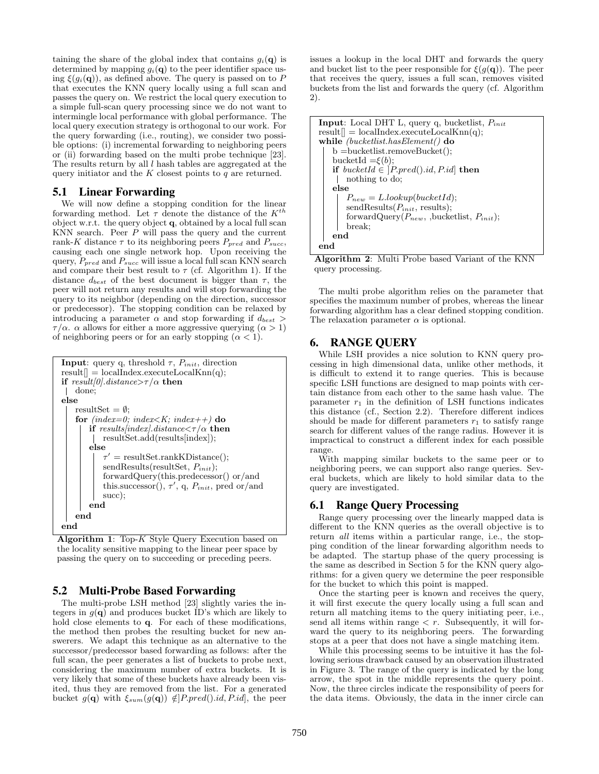taining the share of the global index that contains  $q_i(\mathbf{q})$  is determined by mapping  $g_i(\mathbf{q})$  to the peer identifier space using  $\xi(g_i(\mathbf{q}))$ , as defined above. The query is passed on to P that executes the KNN query locally using a full scan and passes the query on. We restrict the local query execution to a simple full-scan query processing since we do not want to intermingle local performance with global performance. The local query execution strategy is orthogonal to our work. For the query forwarding (i.e., routing), we consider two possible options: (i) incremental forwarding to neighboring peers or (ii) forwarding based on the multi probe technique [23]. The results return by all l hash tables are aggregated at the query initiator and the  $K$  closest points to  $q$  are returned.

#### 5.1 Linear Forwarding

We will now define a stopping condition for the linear forwarding method. Let  $\tau$  denote the distance of the  $K^{th}$ object w.r.t. the query object q, obtained by a local full scan KNN search. Peer P will pass the query and the current rank-K distance  $\tau$  to its neighboring peers  $P_{pred}$  and  $P_{succ}$ , causing each one single network hop. Upon receiving the query,  $P_{pred}$  and  $P_{succ}$  will issue a local full scan KNN search and compare their best result to  $\tau$  (cf. Algorithm 1). If the distance  $d_{best}$  of the best document is bigger than  $\tau$ , the peer will not return any results and will stop forwarding the query to its neighbor (depending on the direction, successor or predecessor). The stopping condition can be relaxed by introducing a parameter  $\alpha$  and stop forwarding if  $d_{best}$  $\tau/\alpha$ .  $\alpha$  allows for either a more aggressive querying  $(\alpha > 1)$ of neighboring peers or for an early stopping  $(\alpha < 1)$ .





## 5.2 Multi-Probe Based Forwarding

The multi-probe LSH method [23] slightly varies the integers in  $g(\mathbf{q})$  and produces bucket ID's which are likely to hold close elements to q. For each of these modifications, the method then probes the resulting bucket for new answerers. We adapt this technique as an alternative to the successor/predecessor based forwarding as follows: after the full scan, the peer generates a list of buckets to probe next, considering the maximum number of extra buckets. It is very likely that some of these buckets have already been visited, thus they are removed from the list. For a generated bucket  $g(\mathbf{q})$  with  $\xi_{sum}(g(\mathbf{q})) \notin ]P,pred(.)id, P.id]$ , the peer issues a lookup in the local DHT and forwards the query and bucket list to the peer responsible for  $\xi(g(\mathbf{q}))$ . The peer that receives the query, issues a full scan, removes visited buckets from the list and forwards the query (cf. Algorithm 2).

| <b>Input:</b> Local DHT L, query q, bucketlist, $P_{init}$ |
|------------------------------------------------------------|
| $result   = localIndex.executeLocalKnn(q);$                |
| while $(bucket list. has Element()$ do                     |
| $b = bucketlist$ .removeBucket();                          |
| bucketId $=\xi(b)$ ;                                       |
| if bucketId $\in$  P.pred().id, P.id then                  |
| nothing to do;                                             |
| else                                                       |
| $P_{new} = L. look up (bucket Id);$                        |
| sendResults $(P_{init},$ results);                         |
| forwardQuery( $P_{new}$ , bucketlist, $P_{init}$ );        |
| break:                                                     |
| end                                                        |
| end                                                        |

Algorithm 2: Multi Probe based Variant of the KNN query processing.

The multi probe algorithm relies on the parameter that specifies the maximum number of probes, whereas the linear forwarding algorithm has a clear defined stopping condition. The relaxation parameter  $\alpha$  is optional.

## 6. RANGE QUERY

While LSH provides a nice solution to KNN query processing in high dimensional data, unlike other methods, it is difficult to extend it to range queries. This is because specific LSH functions are designed to map points with certain distance from each other to the same hash value. The parameter  $r_1$  in the definition of LSH functions indicates this distance (cf., Section 2.2). Therefore different indices should be made for different parameters  $r_1$  to satisfy range search for different values of the range radius. However it is impractical to construct a different index for each possible range.

With mapping similar buckets to the same peer or to neighboring peers, we can support also range queries. Several buckets, which are likely to hold similar data to the query are investigated.

## 6.1 Range Query Processing

Range query processing over the linearly mapped data is different to the KNN queries as the overall objective is to return all items within a particular range, i.e., the stopping condition of the linear forwarding algorithm needs to be adapted. The startup phase of the query processing is the same as described in Section 5 for the KNN query algorithms: for a given query we determine the peer responsible for the bucket to which this point is mapped.

Once the starting peer is known and receives the query, it will first execute the query locally using a full scan and return all matching items to the query initiating peer, i.e., send all items within range  $\langle r$ . Subsequently, it will forward the query to its neighboring peers. The forwarding stops at a peer that does not have a single matching item.

While this processing seems to be intuitive it has the following serious drawback caused by an observation illustrated in Figure 3. The range of the query is indicated by the long arrow, the spot in the middle represents the query point. Now, the three circles indicate the responsibility of peers for the data items. Obviously, the data in the inner circle can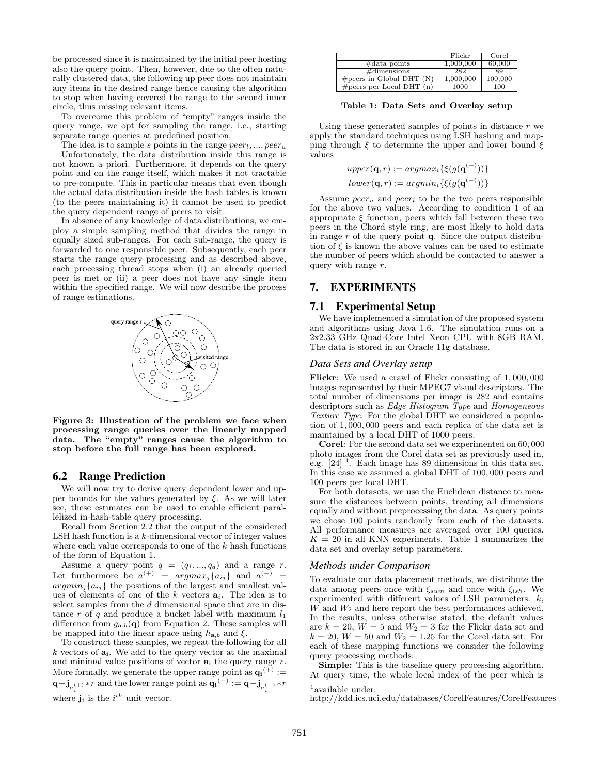be processed since it is maintained by the initial peer hosting also the query point. Then, however, due to the often naturally clustered data, the following up peer does not maintain any items in the desired range hence causing the algorithm to stop when having covered the range to the second inner circle, thus missing relevant items.

To overcome this problem of "empty" ranges inside the query range, we opt for sampling the range, i.e., starting separate range queries at predefined position.

The idea is to sample s points in the range  $peer_l, ..., peer_u$ 

Unfortunately, the data distribution inside this range is not known a priori. Furthermore, it depends on the query point and on the range itself, which makes it not tractable to pre-compute. This in particular means that even though the actual data distribution inside the hash tables is known (to the peers maintaining it) it cannot be used to predict the query dependent range of peers to visit.

In absence of any knowledge of data distributions, we employ a simple sampling method that divides the range in equally sized sub-ranges. For each sub-range, the query is forwarded to one responsible peer. Subsequently, each peer starts the range query processing and as described above, each processing thread stops when (i) an already queried peer is met or (ii) a peer does not have any single item within the specified range. We will now describe the process of range estimations.



Figure 3: Illustration of the problem we face when processing range queries over the linearly mapped data. The "empty" ranges cause the algorithm to stop before the full range has been explored.

#### 6.2 Range Prediction

We will now try to derive query dependent lower and upper bounds for the values generated by  $\xi$ . As we will later see, these estimates can be used to enable efficient parallelized in-hash-table query processing.

Recall from Section 2.2 that the output of the considered LSH hash function is a  $k$ -dimensional vector of integer values where each value corresponds to one of the  $k$  hash functions of the form of Equation 1.

Assume a query point  $q = (q_1, ..., q_d)$  and a range r. Let furthermore be  $a^{(+)}$  =  $argmax_j{a_{ij}}$  and  $a^{(-)}$  =  $argmin_j{a_{ij}}$  the positions of the largest and smallest values of elements of one of the  $k$  vectors  $a_i$ . The idea is to select samples from the d dimensional space that are in distance r of q and produce a bucket label with maximum  $l_1$ difference from  $g_{a,b}(q)$  from Equation 2. These samples will be mapped into the linear space using  $h_{a,b}$  and  $\xi$ .

To construct these samples, we repeat the following for all  $k$  vectors of  $a_i$ . We add to the query vector at the maximal and minimal value positions of vector  $a_i$  the query range r. More formally, we generate the upper range point as  $\mathbf{q_i}^{(+)} :=$  $\mathbf{q}+\mathbf{j}_{a_i^{(+)}}*r$  and the lower range point as  $\mathbf{q_i}^{(-)}:=\mathbf{q}-\mathbf{j}_{a_i^{(-)}}*r$ where  $\mathbf{j}_i$  is the  $i^{th}$  unit vector.

|                                     | Flickr    | Corel   |
|-------------------------------------|-----------|---------|
| $\#data$ points                     | 1,000,000 | 60,000  |
| $#$ dimensions                      | 282       | 89      |
| $\# \text{peers}$ in Global DHT (N) | 1,000,000 | 100,000 |
| # peers per Local DHT $(n)$         | 1000      | 100     |

Table 1: Data Sets and Overlay setup

Using these generated samples of points in distance  $r$  we apply the standard techniques using LSH hashing and mapping through  $\xi$  to determine the upper and lower bound  $\xi$ values

$$
upper(\mathbf{q}, r) := argmax_i \{ \xi(g(\mathbf{q}^{(+)})) \}
$$

$$
lower(\mathbf{q}, r) := argmin_i \{ \xi(g(\mathbf{q}^{(-)})) \}
$$

Assume  $peer_u$  and  $peer_l$  to be the two peers responsible for the above two values. According to condition 1 of an appropriate  $\xi$  function, peers which fall between these two peers in the Chord style ring, are most likely to hold data in range  $r$  of the query point  $q$ . Since the output distribution of  $\xi$  is known the above values can be used to estimate the number of peers which should be contacted to answer a query with range r.

## 7. EXPERIMENTS

#### 7.1 Experimental Setup

We have implemented a simulation of the proposed system and algorithms using Java 1.6. The simulation runs on a 2x2.33 GHz Quad-Core Intel Xeon CPU with 8GB RAM. The data is stored in an Oracle 11g database.

#### *Data Sets and Overlay setup*

Flickr: We used a crawl of Flickr consisting of 1, 000, 000 images represented by their MPEG7 visual descriptors. The total number of dimensions per image is 282 and contains descriptors such as Edge Histogram Type and Homogeneous Texture Type. For the global DHT we considered a population of 1, 000, 000 peers and each replica of the data set is maintained by a local DHT of 1000 peers.

Corel: For the second data set we experimented on 60, 000 photo images from the Corel data set as previously used in, e.g.  $[24]$ <sup>1</sup>. Each image has 89 dimensions in this data set. In this case we assumed a global DHT of 100, 000 peers and 100 peers per local DHT.

For both datasets, we use the Euclidean distance to measure the distances between points, treating all dimensions equally and without preprocessing the data. As query points we chose 100 points randomly from each of the datasets. All performance measures are averaged over 100 queries.  $K = 20$  in all KNN experiments. Table 1 summarizes the data set and overlay setup parameters.

#### *Methods under Comparison*

To evaluate our data placement methods, we distribute the data among peers once with  $\xi_{sum}$  and once with  $\xi_{lsh}$ . We experimented with different values of LSH parameters:  $k$ ,  $W$  and  $W_2$  and here report the best performances achieved. In the results, unless otherwise stated, the default values are  $k = 20$ ,  $W = 5$  and  $W_2 = 3$  for the Flickr data set and  $k = 20$ ,  $W = 50$  and  $W_2 = 1.25$  for the Corel data set. For each of these mapping functions we consider the following query processing methods:

Simple: This is the baseline query processing algorithm. At query time, the whole local index of the peer which is

<sup>1</sup> available under:

http://kdd.ics.uci.edu/databases/CorelFeatures/CorelFeatures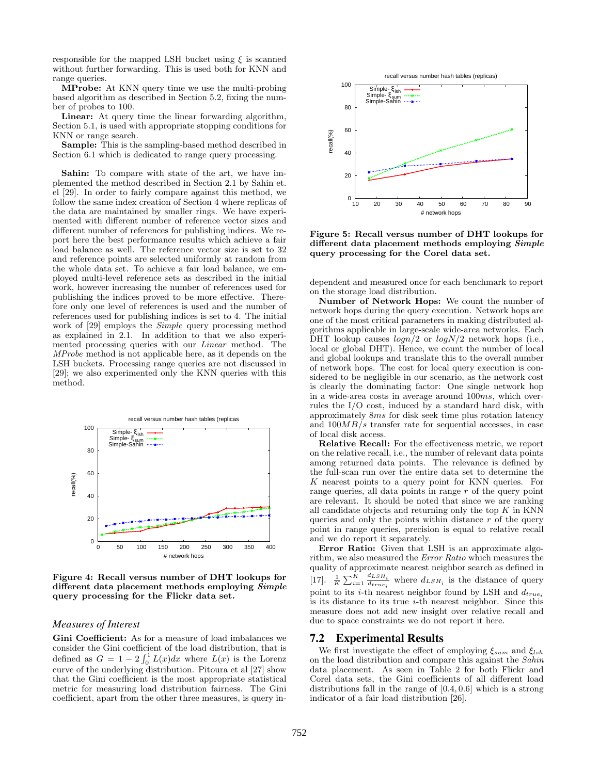responsible for the mapped LSH bucket using  $\xi$  is scanned without further forwarding. This is used both for KNN and range queries.

MProbe: At KNN query time we use the multi-probing based algorithm as described in Section 5.2, fixing the number of probes to 100.

Linear: At query time the linear forwarding algorithm, Section 5.1, is used with appropriate stopping conditions for KNN or range search.

Sample: This is the sampling-based method described in Section 6.1 which is dedicated to range query processing.

Sahin: To compare with state of the art, we have implemented the method described in Section 2.1 by Sahin et. el [29]. In order to fairly compare against this method, we follow the same index creation of Section 4 where replicas of the data are maintained by smaller rings. We have experimented with different number of reference vector sizes and different number of references for publishing indices. We report here the best performance results which achieve a fair load balance as well. The reference vector size is set to 32 and reference points are selected uniformly at random from the whole data set. To achieve a fair load balance, we employed multi-level reference sets as described in the initial work, however increasing the number of references used for publishing the indices proved to be more effective. Therefore only one level of references is used and the number of references used for publishing indices is set to 4. The initial work of [29] employs the Simple query processing method as explained in 2.1. In addition to that we also experimented processing queries with our Linear method. The MProbe method is not applicable here, as it depends on the LSH buckets. Processing range queries are not discussed in [29]; we also experimented only the KNN queries with this method.



Figure 4: Recall versus number of DHT lookups for different data placement methods employing Simple query processing for the Flickr data set.

## *Measures of Interest*

Gini Coefficient: As for a measure of load imbalances we consider the Gini coefficient of the load distribution, that is defined as  $G = 1 - 2 \int_0^1 L(x) dx$  where  $L(x)$  is the Lorenz curve of the underlying distribution. Pitoura et al [27] show that the Gini coefficient is the most appropriate statistical metric for measuring load distribution fairness. The Gini coefficient, apart from the other three measures, is query in-



Figure 5: Recall versus number of DHT lookups for different data placement methods employing Simple query processing for the Corel data set.

dependent and measured once for each benchmark to report on the storage load distribution.

Number of Network Hops: We count the number of network hops during the query execution. Network hops are one of the most critical parameters in making distributed algorithms applicable in large-scale wide-area networks. Each DHT lookup causes  $logn/2$  or  $logN/2$  network hops (i.e., local or global DHT). Hence, we count the number of local and global lookups and translate this to the overall number of network hops. The cost for local query execution is considered to be negligible in our scenario, as the network cost is clearly the dominating factor: One single network hop in a wide-area costs in average around 100ms, which overrules the I/O cost, induced by a standard hard disk, with approximately 8ms for disk seek time plus rotation latency and  $100MB/s$  transfer rate for sequential accesses, in case of local disk access.

Relative Recall: For the effectiveness metric, we report on the relative recall, i.e., the number of relevant data points among returned data points. The relevance is defined by the full-scan run over the entire data set to determine the  $K$  nearest points to a query point for KNN queries. For range queries, all data points in range r of the query point are relevant. It should be noted that since we are ranking all candidate objects and returning only the top  $K$  in KNN queries and only the points within distance  $r$  of the query point in range queries, precision is equal to relative recall and we do report it separately.

Error Ratio: Given that LSH is an approximate algorithm, we also measured the Error Ratio which measures the quality of approximate nearest neighbor search as defined in [17].  $\frac{1}{K} \sum_{i=1}^{K} \frac{d_{LSH_i}}{d_{true_i}}$  $\frac{d_{LS}H_i}{dt_{true_i}}$  where  $d_{LSH_i}$  is the distance of query point to its *i*-th nearest neighbor found by LSH and  $d_{true_i}$ is its distance to its true  $i$ -th nearest neighbor. Since this measure does not add new insight over relative recall and due to space constraints we do not report it here.

#### 7.2 Experimental Results

We first investigate the effect of employing  $\xi_{sum}$  and<br>  $\xi_{lsh}$ on the load distribution and compare this against the Sahin data placement. As seen in Table 2 for both Flickr and Corel data sets, the Gini coefficients of all different load distributions fall in the range of [0.4, 0.6] which is a strong indicator of a fair load distribution [26].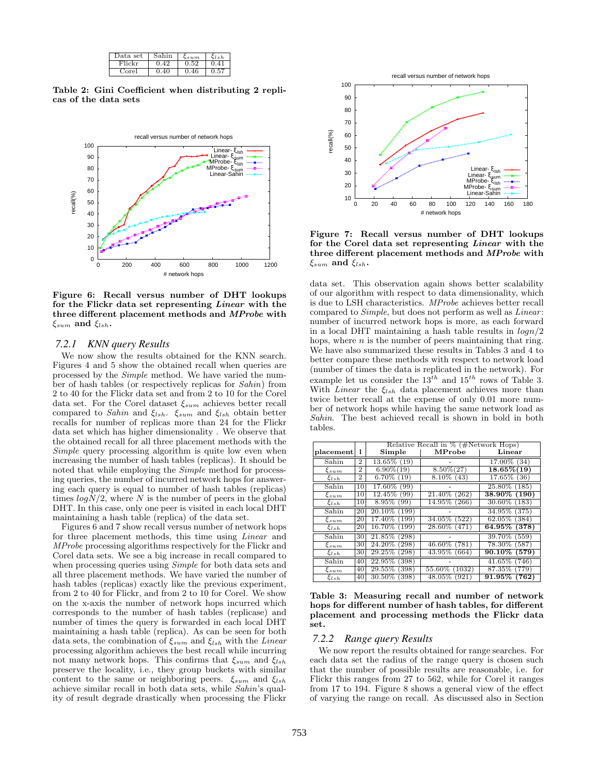| Data set | Sahin     | $\xi$ sum | Elsh          |
|----------|-----------|-----------|---------------|
| Flickr   | $\Lambda$ | O 52      | <sup>41</sup> |
| 'orel    | .40       | በ 46      | 0.57          |

Table 2: Gini Coefficient when distributing 2 replicas of the data sets



Figure 6: Recall versus number of DHT lookups for the Flickr data set representing Linear with the three different placement methods and MProbe with  $\xi_{sum}$  and<br>  $\xi_{lsh}.$ 

## *7.2.1 KNN query Results*

We now show the results obtained for the KNN search. Figures 4 and 5 show the obtained recall when queries are processed by the Simple method. We have varied the number of hash tables (or respectively replicas for Sahin) from 2 to 40 for the Flickr data set and from 2 to 10 for the Corel data set. For the Corel dataset  $\xi_{sum}$  achieves better recall compared to Sahin and  $\xi_{lsh}$ .  $\xi_{sum}$  and  $\xi_{lsh}$  obtain better recalls for number of replicas more than 24 for the Flickr data set which has higher dimensionality . We observe that the obtained recall for all three placement methods with the Simple query processing algorithm is quite low even when increasing the number of hash tables (replicas). It should be noted that while employing the *Simple* method for processing queries, the number of incurred network hops for answering each query is equal to number of hash tables (replicas) times  $log N/2$ , where N is the number of peers in the global DHT. In this case, only one peer is visited in each local DHT maintaining a hash table (replica) of the data set.

Figures 6 and 7 show recall versus number of network hops for three placement methods, this time using Linear and MProbe processing algorithms respectively for the Flickr and Corel data sets. We see a big increase in recall compared to when processing queries using Simple for both data sets and all three placement methods. We have varied the number of hash tables (replicas) exactly like the previous experiment, from 2 to 40 for Flickr, and from 2 to 10 for Corel. We show on the x-axis the number of network hops incurred which corresponds to the number of hash tables (replicase) and number of times the query is forwarded in each local DHT maintaining a hash table (replica). As can be seen for both data sets, the combination of  $\xi_{sum}$  and  $\xi_{lsh}$  with the Linear processing algorithm achieves the best recall while incurring not many network hops. This confirms that  $\xi_{sum}$  and  $\xi_{lsh}$ preserve the locality, i.e., they group buckets with similar content to the same or neighboring peers.  $\xi_{sum}$  and  $\xi_{lsh}$ achieve similar recall in both data sets, while Sahin's quality of result degrade drastically when processing the Flickr



Figure 7: Recall versus number of DHT lookups for the Corel data set representing Linear with the three different placement methods and MProbe with  $\xi_{sum}$  and  $\xi_{lsh}$ .

data set. This observation again shows better scalability of our algorithm with respect to data dimensionality, which is due to LSH characteristics. MProbe achieves better recall compared to Simple, but does not perform as well as Linear : number of incurred network hops is more, as each forward in a local DHT maintaining a hash table results in  $logn/2$ hops, where *n* is the number of peers maintaining that ring. We have also summarized these results in Tables 3 and 4 to better compare these methods with respect to network load (number of times the data is replicated in the network). For example let us consider the  $13^{th}$  and  $15^{th}$  rows of Table 3. With *Linear* the  $\xi_{lsh}$  data placement achieves more than twice better recall at the expense of only 0.01 more number of network hops while having the same network load as Sahin. The best achieved recall is shown in bold in both tables.

|             |                | Relative Recall in % (#Network Hops) |                    |                    |  |
|-------------|----------------|--------------------------------------|--------------------|--------------------|--|
| placement   | ı              | Simple                               | MProbe             | Linear             |  |
| Sahin       | $\overline{2}$ | $13.65\%$<br>(19)                    |                    | 17.00%<br>(34)     |  |
| $\xi_{sum}$ | $\overline{2}$ | $6.90\% (19)$                        | $8.50\% (27)$      | $18.65\%(19)$      |  |
| $\xi_{lsh}$ | $\overline{2}$ | $6.70\%$<br>(19)                     | $8.10\%$<br>(43)   | 17.65% (36)        |  |
| Sahin       | 10             | 17.60%<br>(99)                       |                    | 25.80\% (185)      |  |
| $\xi_{sum}$ | 10             | 12.45%<br>(99)                       | 21.40%<br>(262)    | 38.90% (190)       |  |
| $\xi_{lsh}$ | 10             | $8.95\%$<br>(99)                     | $14.95\%$<br>(266) | $30.60\%$ (183)    |  |
| Sahin       | 20             | $20.10\%$<br>(199)                   |                    | 34.95% (375)       |  |
| $\xi_{sum}$ | 20             | 17.40% (199)                         | 34.05%<br>(522)    | $62.05\%$ $(384)$  |  |
| $\xi_{lsh}$ | 20             | $16.70\%$<br>(199)                   | 28.60%<br>(471)    | $64.95\%$<br>(378) |  |
| Sahin       | 30             | 21.85%<br>(298)                      |                    | 39.70% (559)       |  |
| $\xi_{sum}$ | 30             | 24.20%<br>(298)                      | 46.60%<br>781      | 78.30%<br>(587)    |  |
| $\xi_{lsh}$ | 30             | 29.25%<br>(298)                      | 43.95%<br>(664)    | $90.10\%$<br>(579) |  |
| Sahin       | 40             | 22.95%<br>(398)                      |                    | 41.65%<br>(746)    |  |
| $\xi_{sum}$ | 40             | $29.55\%$<br>(398)                   | 55.60%<br>(1032)   | 87.35%<br>(779)    |  |
| $\xi_{lsh}$ | 40             | 30.50%<br>(398)                      | 48.05%<br>921      | $91.95\%$<br>762)  |  |

Table 3: Measuring recall and number of network hops for different number of hash tables, for different placement and processing methods the Flickr data set.

#### *7.2.2 Range query Results*

We now report the results obtained for range searches. For each data set the radius of the range query is chosen such that the number of possible results are reasonable, i.e. for Flickr this ranges from 27 to 562, while for Corel it ranges from 17 to 194. Figure 8 shows a general view of the effect of varying the range on recall. As discussed also in Section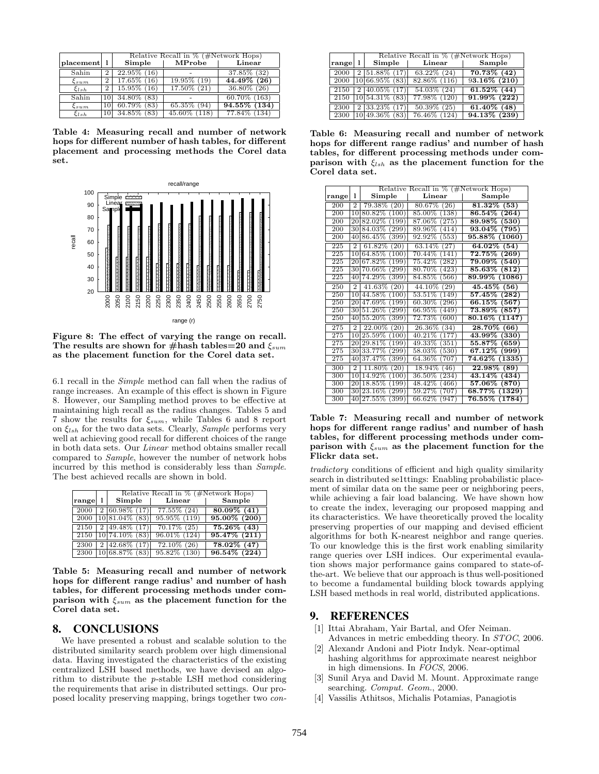| placement l |                             | Simple         | Relative Recall in $\%$ (#Network Hops)<br>Linear |                    |
|-------------|-----------------------------|----------------|---------------------------------------------------|--------------------|
| Sahin       |                             | 22.95% (16)    |                                                   | 37.85% (32)        |
| $\xi_{sum}$ |                             | $17.65\%$ (16) | $19.95\%$ (19)                                    | 44.49% (26)        |
| $\xi_{lsh}$ | $\mathcal{D}_{\mathcal{L}}$ | $15.95\%$ (16) | 17.50% (21                                        | $36.80\%$ (26)     |
| Sahin       |                             | $34.80\%$ (83) |                                                   | 60.70% (163)       |
| $\xi_{sum}$ | 10                          | 60.79%<br>83   | 65.35%<br>(94)                                    | $94.55\%$<br>(134) |
| $\xi_{lsh}$ | 10                          | 34.85%<br>83   | 45.60%<br>118                                     | 77.84%<br>(134     |

Table 4: Measuring recall and number of network hops for different number of hash tables, for different placement and processing methods the Corel data set.



Figure 8: The effect of varying the range on recall. The results are shown for #hash tables=20 and  $\xi_{sum}$ as the placement function for the Corel data set.

6.1 recall in the Simple method can fall when the radius of range increases. An example of this effect is shown in Figure 8. However, our Sampling method proves to be effective at maintaining high recall as the radius changes. Tables 5 and 7 show the results for  $\xi_{sum}$ , while Tables 6 and 8 report on  $\xi_{lsh}$  for the two data sets. Clearly, Sample performs very well at achieving good recall for different choices of the range in both data sets. Our Linear method obtains smaller recall compared to Sample, however the number of network hobs incurred by this method is considerably less than Sample. The best achieved recalls are shown in bold.

|       |                                          | Relative Recall in $\%$ (#Network Hops) |                   |
|-------|------------------------------------------|-----------------------------------------|-------------------|
| range | Simple                                   | Linear                                  | Sample            |
| 2000  | 2 60.98%                                 | 77.55% (24)                             | $80.09\%$ (41)    |
| 2000  | $10 81.04\%$ (83)                        | $95.95\%$<br>(119)                      | $95.00\%$ (200)   |
| 2150  | $2 49.48\% (17) $                        | $70.17\%$ (25)                          | $75.26\%$ (43)    |
| 2150  | $\left  \frac{10}{74.10\%} \right $ (83) | 96.01\% (124)                           | $95.47\%$ $(211)$ |
| 2300  | 2 42.68%                                 | $72.10\%$ (26)                          | $78.02\%$ (47)    |
| 2300  | 10 68.87\% (83)                          | 95.82%                                  | $96.54\%$ (224)   |

Table 5: Measuring recall and number of network hops for different range radius' and number of hash tables, for different processing methods under comparison with  $\xi_{sum}$  as the placement function for the Corel data set.

## 8. CONCLUSIONS

We have presented a robust and scalable solution to the distributed similarity search problem over high dimensional data. Having investigated the characteristics of the existing centralized LSH based methods, we have devised an algorithm to distribute the p-stable LSH method considering the requirements that arise in distributed settings. Our proposed locality preserving mapping, brings together two con-

|       |                |                   | Relative Recall in $\%$ (#Network Hops) |                   |
|-------|----------------|-------------------|-----------------------------------------|-------------------|
| range |                | Simple            | Linear                                  | Sample            |
|       |                | 51.88%            | $63.22\%$ (24)                          | $70.73\%$ (42)    |
| 2000  |                | 10 66.95%<br>(83) | 82.86%                                  | $93.16\%$ (210)   |
| 2150  | $\overline{2}$ | 40.05%            | $54.03\%$ (24)                          | $61.52\%$ (44)    |
| 2150  |                | $10 54.31\%$ (83) | 77.98%<br>(120)                         | $91.99\%$ (222)   |
| 2300  |                | 2 33.23%          | $50.39\%$ (25)                          | $61.40\%$<br>(48) |
| 2300  |                | 10 49.36\% (83)   | 76.46%<br>124`                          | $94.13\%$ (239)   |

Table 6: Measuring recall and number of network hops for different range radius' and number of hash tables, for different processing methods under comparison with  $\xi_{lsh}$  as the placement function for the Corel data set.

|                  | Relative Recall in % (#Network Hops) |                   |                                |                               |
|------------------|--------------------------------------|-------------------|--------------------------------|-------------------------------|
| range            | 1                                    | Simple            | Linear                         | Sample                        |
| 200              | $\overline{2}$                       | 79.38%<br>(20)    | $80.67\%$<br>(26)              | $\overline{81.32\%}$<br>(53)  |
| 200              | 10                                   | 80.82%<br>100     | 85.00%<br>(138)                | 86.54%<br>264)                |
| 200              | 20                                   | 82.02%<br>199     | $87.06\%$<br>275               | 89.98%<br>$530^\circ$         |
| 200              | 30                                   | 84.03%<br>299     | $89.96\%$<br>414               | $93.04\%$<br>795)             |
| 200              | 40                                   | 86.45%<br>399)    | $92.92\%$<br>(553)             | $95.88\%$<br>(1060)           |
| 225              | $\overline{2}$                       | 61.82%<br>(20)    | 63.14%<br>$^{(27)}$            | $64.02\%$<br>(54)             |
| 225              | 10                                   | 64.85%<br>100)    | $70.44\%$<br>$\overline{141}$  | $72.75\%$<br>(269)            |
| 225              | 20                                   | 67.82%<br>199     | $75.42\%$<br>$\overline{282}$  | $79.09\%$<br>540)             |
| 225              | 30                                   | 70.66%<br>299     | $80.70\%$<br>423               | 85.63%<br>812                 |
| 225              | 40                                   | $74.29\%$<br>399  | $84.85\%$<br>(566)             | 89.99%<br>(1086)              |
| 250              | $\overline{2}$                       | 41.63%<br>20      | 44.10%<br>$^{'}29'$            | $45.45\%$<br>(56)             |
| 250              | 10                                   | 44.58%<br>100)    | $53.51\%$<br>149)              | $57.45\%$<br>(282)            |
| 250              | 20                                   | 47.69%<br>199     | $60.30\%$<br>296)              | $66.15\%$<br>567)             |
| 250              | 30                                   | $51.26\%$<br>299  | $66.95\%$<br>449               | $73.89\%$<br>(857)            |
| 250              | 40                                   | 55.20%<br>399     | $72.73\%$<br>600               | 80.16%<br>1147                |
| $\overline{275}$ | $\overline{2}$                       | $22.00\%$<br>(20) | 26.36%<br>(34)                 | $28.70\%$<br>(66)             |
| 275              | 10                                   | 25.59%<br>100     | $40.21\%$<br>(177)             | $43.99\%$<br>(330)            |
| 275              | 20                                   | 29.81\%<br>199    | $49.33\%$<br>351               | $55.87\%$<br>(659)            |
| 275              | 30                                   | 33.77%<br>299)    | $58.03\%$<br>(530)             | $67.12\%$<br>(999)            |
| 275              | 40                                   | 399<br>37.47%     | $64.36\%$<br>707)              | $74.62\%$<br>1335)            |
| 300              | $\overline{2}$                       | 11.80%<br>(20)    | $18.94\%$<br>(46)              | $22.98\%$<br>(89)             |
| 300              | 10                                   | 14.92%<br>100     | $36.50\%$<br>$\overline{23}4)$ | $43.14\%$<br>$\overline{434}$ |
| 300              | 20                                   | 18.85%<br>199     | $48.42\%$<br>466               | $57.06\%$<br>(870)            |
| 300              | 30                                   | $23.16\%$<br>299  | $59.27\%$<br>707)              | 68.77%<br>1329)               |
| 300              | 40                                   | $27.55\%$<br>399) | $66.62\%$<br>(947)             | $76.55\%$<br>1784)            |

Table 7: Measuring recall and number of network hops for different range radius' and number of hash tables, for different processing methods under comparison with  $\xi_{sum}$  as the placement function for the Flickr data set.

tradictory conditions of efficient and high quality similarity search in distributed se1ttings: Enabling probabilistic placement of similar data on the same peer or neighboring peers, while achieving a fair load balancing. We have shown how to create the index, leveraging our proposed mapping and its characteristics. We have theoretically proved the locality preserving properties of our mapping and devised efficient algorithms for both K-nearest neighbor and range queries. To our knowledge this is the first work enabling similarity range queries over LSH indices. Our experimental evaulation shows major performance gains compared to state-ofthe-art. We believe that our approach is thus well-positioned to become a fundamental building block towards applying LSH based methods in real world, distributed applications.

#### 9. REFERENCES

- [1] Ittai Abraham, Yair Bartal, and Ofer Neiman. Advances in metric embedding theory. In STOC, 2006.
- [2] Alexandr Andoni and Piotr Indyk. Near-optimal hashing algorithms for approximate nearest neighbor in high dimensions. In FOCS, 2006.
- [3] Sunil Arya and David M. Mount. Approximate range searching. *Comput. Geom.*, 2000.
- [4] Vassilis Athitsos, Michalis Potamias, Panagiotis